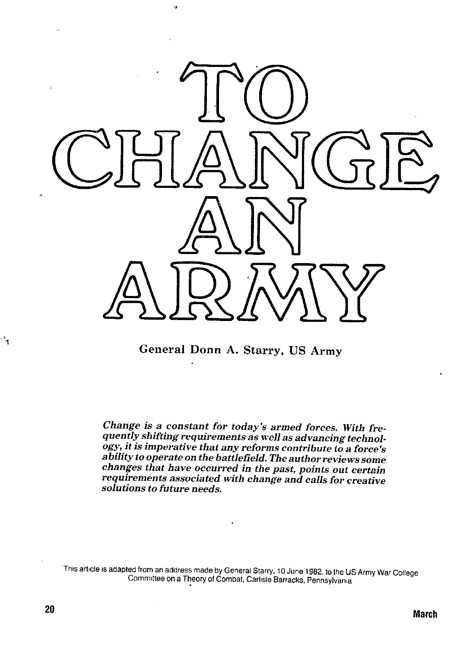

General Donn A. Starry, US Army

Change is a constant for today's armed forces. With frequently shifting requirements as well as advancing technology, it is imperative that any reforms contribute to a force's ability to operate on the battlefield. The author reviews some changes that have occurred in the past, points out certain requirements associated with change and calls for creative solutions to future needs.

This article is adapted from an address made by General Starry, 10 June 1982, to the US Army War College Committee on a Theory of Combat, Carlisle Barracks, Pennsylvania.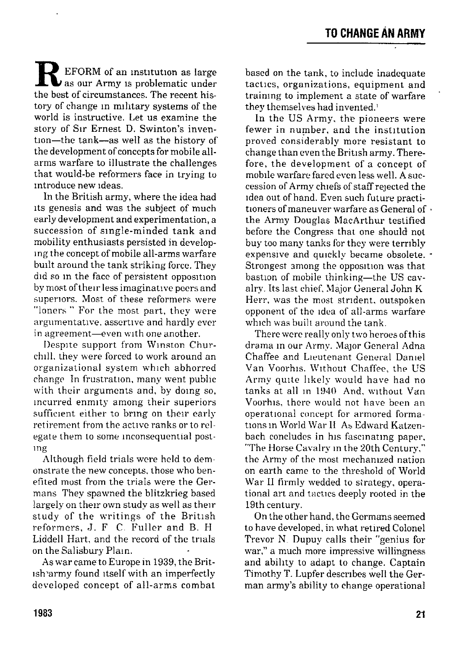**EFORM** of an institution as large as our Army 1s problematic under the best of circumstances. The recent history of change in military systems of the world is instructive, Let us examine the story of Sir Ernest D. Swinton's invention—the tank—as well as the history of the development of concepts for mobile allarms warfare to illustrate the challenges that would-be reformers face in trying to Introduce new Ideas.

In the British army, where the idea had Its genesis and was the subject of much early development and experimentation, a succession of single-minded tank and mobility enthusiasts persisted in developing the concept of mobile all-arms warfare built around the tank striking force. They did so in the face of persistent opposition by most of their less imaginative peers and superiors. Most of these reformers were "loners" For the most part, they were argumentative, assertive and hardly ever in agreement—even with one another.

Despite support from Winston Churchill, they were forced to work around an organizational system which abhorred change In frustration, many went pubhc with their arguments and, by doing so, Incurred enmity among their superiors sufficient either to bring on their early retirement from the active ranks or to relegate them to some Inconsequential posting

Although field trials were held to demonstrate the new concepts, those who benefited most from the trials were the Germans They spawned the blitzkrieg based largely on their own study as well as their study of the writings of the British reformers, J. F. C. Fuller and B. H. Liddell Hart, and the record of the trials on the Salisbury Plain.

As war came to Europe in 1939, the British'army found itself with an imperfectly developed concept of all-arms combat based on the tank, to include inadequate tactics, organizations, equipment and training to implement a state of warfare they themselves had invented.'

In the US Army, the pioneers were fewer in number, and the institution proved considerably more resistant to change than even the British army. Therefore, the development of a concept of mobile warfare fared even less well, A succession of Army chiefs of staff rejected the Idea out of hand. Even such future practitioners of maneuver warfare as General of  $\cdot$ tbe Army Douglas MacArthur testified before the Congress that one should not buy too many tanks for they were terrlbiy expensive and quickly became obsolete. -Strongest among the opposition was that bastion of mobile thinking—the US cavalry. Its last chief, Major General John K Herr, was the most strident, outspoken OPPOnent Of the Idea of all-arms warfare which was built around the tank.

There were really only two beroes ofthis drama In our Army. Major General Adna Chaffee and Lieutenant General Daniel Van Voorhis. Without Chaffee, the US Army quite likely would have had no tanks at all in 1940 And, without Van Voorhls, there would not have been an operational concept for armored formations in World War II As Edward Katzenbach concludes in his fascinating paper, "The Horse Cavalry in the 20th Century," the Army of the most mechanized nation on earth came to the threshold of World War II firmly wedded to strategy, operational art and tact}cs deeply rooted in the 19th century,

On the other hand, the Germans seemed to have developed, in what retired Colonel Trevor N. Dupuy calls their "genius for war," a much more impressive willingness and abillty to adapt to change. Captain Timothy T. Lupfer describes well the German army's ability to change operational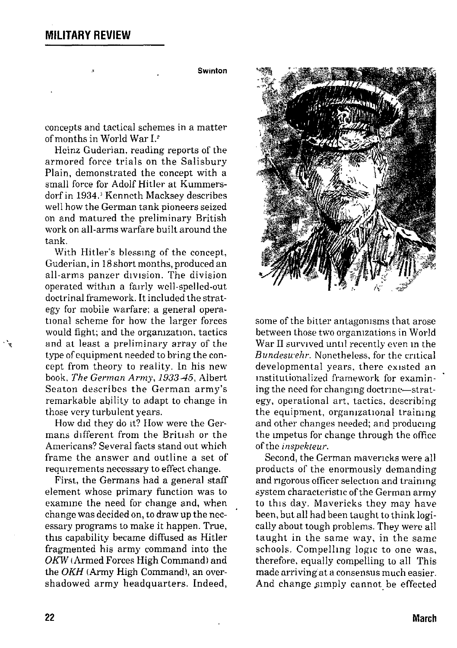*s* **Swint** 

concepts and tactical schemes in a matter of months in World War 1.2

Heinz Guderian, reading reports of the armored force trials on the Salisbury Plain, demonstrated the concept with a small force for Adolf Hitler at Kummersdorf in 1934<sup>3</sup> Kenneth Macksey describes well how the German tank pioneers seized on and matured the preliminary British work on all-arms warfare built around the tank.

With Hitler's blesslng of the concept, Guderian, in 18 short months, produced an all-arms panzer division. The division operated within a fairly well-spelled-out doctrinal framework. It included the strategy for mobile warfare; a general opera. tional scheme for how the larger forces would fight; and the organization, tactics and at least a preliminary array of the type of equipment needed to bring the concept from theory to reality. In his new book, *The German Army, 193345,* Albert Seaton describes the German army's remarkable ability to adapt to change in those very turbulent years.

How did they do it? How were the Germans different from the British or the Americans? Several facts stand out which frame the answer and outline a set of requirements necessary to effect change.

First, the Germans had a general staff element whose primary function was to examme the need for change and, when change was decided on, to draw up the net- ' essary programs to make it happen. True, this capability became diffused as Hitler fragmented his army command into the *OKW* (Armed Forces High Command) and the OKH (Army High Command), an overshadowed army headquarters. Indeed,



some of the bitter antagonisms that arose between those two organizations in World War II survived until recently even in the *Bundeswehr.* Nonetheless, for the critical developmental years, there existed an Institutionalized framework for examin - " ing the need for changing doctrine—strategy, operational art, tactics, describing the equipment, organizational training and other changes needed; and producing the Impetus for change through the office of the *inspekteur*.

Second, the German mavericks were all products of the enormously demanding and rigorous officer selection and training system characteristic of the German army to this day. Mavericks they may have been, but all had been taught to think logically about tough problems. They were all taught in the same way, in the same schools. Compelling loglc to one *waa,* therefore, equally compelling to all This made arriving at a consensus much easier. And change simply cannot be effected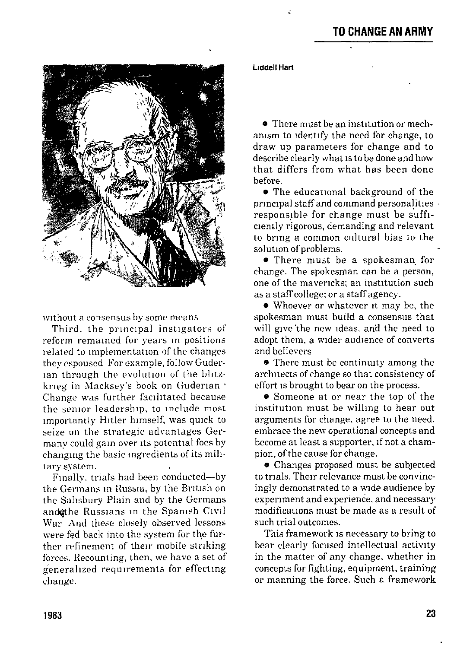

without a consensus by some means

Third, the principal instigators of reform remained for years in positions related to implementation of the changes they espoused For example, follow Guderian through the evolution of the blitzkrieg in Macksey's book on Guderian \* Change was further facilitated because the senior leadership, to include most importantly Hitler himself, was quick to seize on the strategic advantages Germany could gain over its potential foes by changing the basic ingredients of its military system.

Finally, trials had been conducted--by the Germans in Russia, by the British on the Salısbury Plain and by the Germans and the Russians in the Spanish Civil War And these closely observed lessons were fed back into the system for the further refinement of their mobile striking forces. Recounting, then, we have a set of generalized requirements for effecting change.

**Liddell Hart** 

• There must be an institution or mechanism to identify the need for change, to draw up parameters for change and to describe clearly what is to be done and how that differs from what has been done hefore.

• The educational background of the principal staff and command personalities. responsible for change must be sufficiently rigorous, demanding and relevant to bring a common cultural bias to the solution of problems.

**• There must be a spokesman for** change. The spokesman can be a person. one of the mavericks: an institution such as a staff college; or a staff agency.

• Whoever or whatever it may be, the spokesman must build a consensus that will give the new ideas, and the need to adopt them, a wider audience of converts and believers

• There must be continuity among the architects of change so that consistency of effort is brought to bear on the process.

• Someone at or near the top of the institution must be willing to hear out arguments for change, agree to the need, embrace the new operational concepts and become at least a supporter, if not a champion, of the cause for change.

• Changes proposed must be subjected to trials. Their relevance must be convincingly demonstrated to a wide audience by experiment and experience, and necessary modifications must be made as a result of such trial outcomes.

This framework is necessary to bring to bear clearly focused intellectual activity in the matter of any change, whether in concepts for fighting, equipment, training or manning the force. Such a framework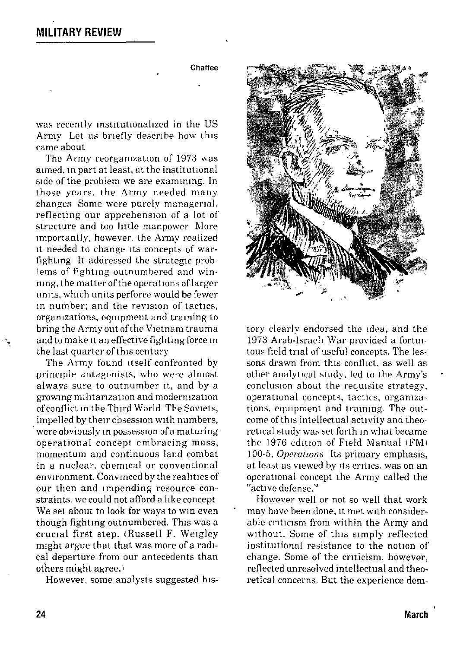**Chaffee**

was recently institutionalized in the US Army Let us briefly describe how this came about

The Army reorganization of 1973 was aimed, in part at least, at the institutional side of the problem we are examining. In those years, the Army needed many changes Some were purely managerial, reflecting our apprehension of a lot of structure and too little manpower More Importantly, however, tbe Army realized It needed to change its concepts of warfighting It addressed the strategic problems of fighting outnumbered and winning, tbe matter of the operations of larger units, which units perforce would be fewer in number; and the revision of tactics, organizations, equipment and training to bring the Army out of the Vietnam trauma and to make it an effective fighting force in the last quarter of this century

The Army found itself confronted by principle antagonists, who were almost always sure to outnumber it, and by a growing militarization and modernization of conflict in the Third World The Soviets, impelled by their obsession with numbers, were obviously In possession of a maturing operational concept embracing mass, momentum and continuous land combat in a nuclear, chemical or conventional environment. Convinced by the realities of our then and Impending resource constraints, we could not afford a Ilke concept We set about to look for ways to win even though fighting outnumbered. This was a crucial first step. (Russell F. Weigley might argue that that was more of a radical departure from our antecedents than others might agree. )

However, some analysts suggested his-



tory clearly endorsed the Idea, and the 1973 Arab-Israeli War provided a fortuitous field trial of useful concepts. The lessons drawn from this conflict, as well as other analytical study, led to the Army's . conclusion about the requisite strategy, operational concepts, tactics, organizations. equipment and trammg. The outcome of this intellectual activity and theoretical study was set forth in what became the 1976 edition of Field Manual (FM) 100-5, *Opcrattons* Its primary emphasis, at least as viewed by its critics, was on an operational concept the Army called the "active defense."

However well or not so well that work may have been done, it met with considerable criticism from within the Army and without. Some of this simply reflected institutional resistance to the notion of change. Some of the criticism, however, reflected unresolved intellectual and theoretical concerns. But the experience dem-

े स्<br>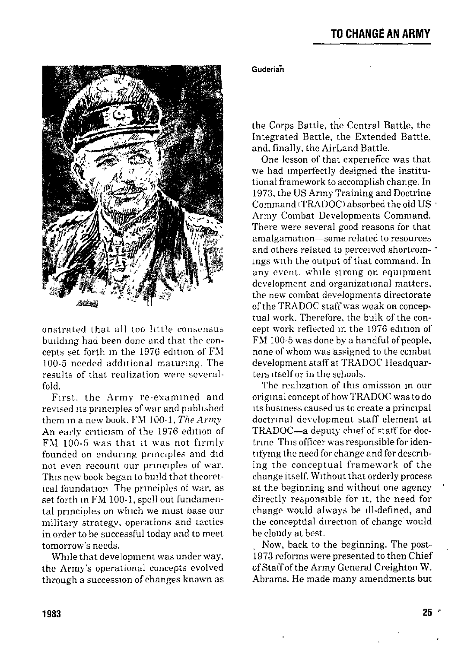

onstrated that all too little consensus bulldmg had been done and that the concepts set forth in the 1976 edition of FM  $100-5$  needed additional maturing. The results of that realization were several. fold.

First, the Army re-examined and revised its principles of war and published them in a new book, FM 100-1, *The Army* An early criticism of the 1976 edition of FM 100-5 was that It was not firmly founded on enduring principles and did not even recount our principles of war. This new book began to build that theoretical foundation The principles of war, as set forth in FM 100-1, spell out fundamental principles on which we must base our military strategy, operations and tactics in order to be successful today and to meet tomorrow's needs.

While that development was under way, the Army's operational concepts evolved through a succession of changes known as

## Guderian<sup>n</sup>

tbe Corps Battle, the Central Battle, the Integrated Battle, the Extended Battle, and, finally, the AirLand Battle.

One lesson of that experience was that we had Imperfectly designed the institutional framework to accomplish change. In 1973, the US Army Training and Doctrine Command (TRADOC) absorbed the old US Army Combat Developments Command. There were several good reasons for that amalgamation—some related to resources and others related to perceived shortcomings with the output of that command. In any event, while strong on equipment development and organizational matters, tbe new combat developments directorate of the TRADOC staff was weak on conceptual work. Therefore, the bulk of the concept work reflected m the 1976 edltlon of FM 100-5 was done by a handful of people, none of whom was assigned to the combat development staff at TRADOC Ileadquarters Itself or in the schools.

The realization of this omission m our original concept of how TRADOC was to do its business caused us to create a principal doctrinal development staff element at TRADOC—a deputy chief of staff for doctrine This officer was responsible for identifying the need for change and for describing the conceptual framework of the change itself. Without that orderly process at the beginning and without one agency directly responsible for it, the need for change would always be ill-defined, and the conceptual direction of change would be cloudy at best.

Now, back to the beginning. The posti973 reforms were presented to then Chief of Staff of the Army General Creighton W. Abrams. He made many amendments but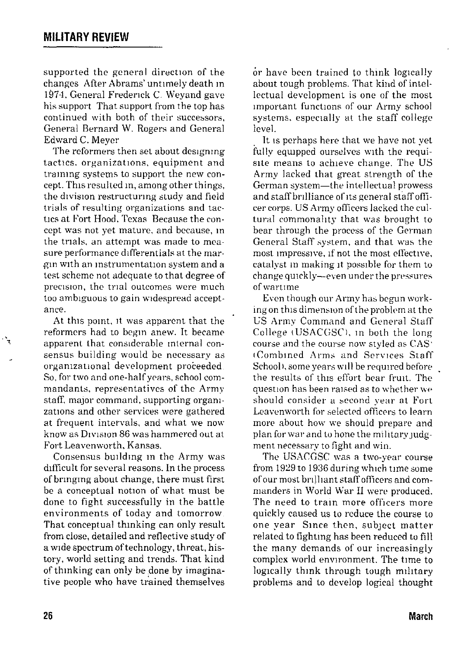supported the general direction of the changes After Abrams' untimely death In 1974, General Frederick C Weyand gave his support That support from the top has continued with both of their successors, General Bernard W. Rogers and General Edward C. Meyer

The reformers then set about designing tactics. organizations, equipment and training systems to support the new concept. This resulted In, among other things, the division restructuring study and field trials of resulting organizations and tactics at Fort Hood, Texas Because the concept was not yet mature, and because, in the trials, an attempt was made to measure performance differentials at the margin with an instrumentation system and a test scheme not adequate to that degree of precision, the trial outcomes were much too ambguous to gain widespread acceptance.

At this point, it was apparent that the reformers had to begin anew. It became apparent that considerable internal consensus building would be necessary as organizational development proceeded SO, for two and one-half years, school commandants, representatives of the Army staff, major command, supporting organizations and other services were gathered at frequent intervals, and what we now know as Division 86 was hammered out at Fort Leavenworth, Kansas,

Consensus building in the Army was difficult for several reasons. In the process of bringing about change, there must first be a conceptual notion of what must be done to fight successfully in the battle environments of today and tomorrow That conceptual thinking can only result from close, detailed and reflective study of a wide spectrum of technology, threat, history, world setting and trends. That kind of thinking can only be done by imaginative people who have trained themselves or have been trained to think logically about tough problems. That kind of intellectual development is one of the most Important functions of our Army school systems. especially at the staff college level.

It is perhaps here that we have not yet fully equipped ourselves with the requisite means to achieve change, The US Army lacked that great strength of the German system—the intellectual prowess and staff brilliance of its general staff officer corps. US Army officers lacked the cultural commonality that was brought to bear through the process of the German General Staff system, and that was the most Impressive, lf not the most effective, catalyst in making it possible for them to change quickly—even under the pressures of wartime

Even though our Army has begun working on this dimension of the problem at the US Army Command and General Staff College (USACGSC), in both the long course and the course now styled as CAS' [Combined Arm> and Services Staff School), some years will be required before the results of this effort bear fruit. The question has been raised as to whether w{, should consider a second year at Fort Leavenworth for selected officers to learn more about how we should prepare and plan for war and to hone the military judgment necessary to fight and win.

The USACGSC was a two-year course from 1929 to 1936 during which time some of our most brilliant staff officers and commanders in World War II were produced. The need to train more officers more quickly caused us to reduce the course to one year Since then, subject matter related to fighting has been reduced to fill the many demands of our increasingly complex world environment. The time to logically think through tough military problems and to develop logical thought